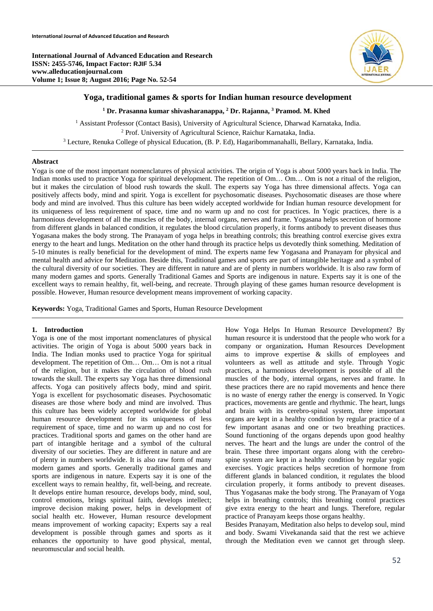**International Journal of Advanced Education and Research ISSN: 2455-5746, Impact Factor: RJIF 5.34 www.alleducationjournal.com Volume 1; Issue 8; August 2016; Page No. 52-54** 



# **Yoga, traditional games & sports for Indian human resource development**

<sup>1</sup> Dr. Prasanna kumar shivasharanappa, <sup>2</sup> Dr. Rajanna, <sup>3</sup> Pramod. M. Khed

<sup>1</sup> Assistant Professor (Contact Basis), University of Agricultural Science, Dharwad Karnataka, India.<br><sup>2</sup> Prof. University of Agricultural Science, Raichur Karnataka, India.<br><sup>3</sup> Lecture, Repulsa College of physical Educat Lecture, Renuka College of physical Education, (B. P. Ed), Hagaribommanahalli, Bellary, Karnataka, India.

### **Abstract**

Yoga is one of the most important nomenclatures of physical activities. The origin of Yoga is about 5000 years back in India. The Indian monks used to practice Yoga for spiritual development. The repetition of Om… Om… Om is not a ritual of the religion, but it makes the circulation of blood rush towards the skull. The experts say Yoga has three dimensional affects. Yoga can positively affects body, mind and spirit. Yoga is excellent for psychosomatic diseases. Psychosomatic diseases are those where body and mind are involved. Thus this culture has been widely accepted worldwide for Indian human resource development for its uniqueness of less requirement of space, time and no warm up and no cost for practices. In Yogic practices, there is a harmonious development of all the muscles of the body, internal organs, nerves and frame. Yogasana helps secretion of hormone from different glands in balanced condition, it regulates the blood circulation properly, it forms antibody to prevent diseases thus Yogasana makes the body strong. The Pranayam of yoga helps in breathing controls; this breathing control exercise gives extra energy to the heart and lungs. Meditation on the other hand through its practice helps us devotedly think something. Meditation of 5-10 minutes is really beneficial for the development of mind. The experts name few Yogasana and Pranayam for physical and mental health and advice for Meditation. Beside this, Traditional games and sports are part of intangible heritage and a symbol of the cultural diversity of our societies. They are different in nature and are of plenty in numbers worldwide. It is also raw form of many modern games and sports. Generally Traditional Games and Sports are indigenous in nature. Experts say it is one of the excellent ways to remain healthy, fit, well-being, and recreate. Through playing of these games human resource development is possible. However, Human resource development means improvement of working capacity.

**Keywords:** Yoga, Traditional Games and Sports, Human Resource Development

## **1. Introduction**

Yoga is one of the most important nomenclatures of physical activities. The origin of Yoga is about 5000 years back in India. The Indian monks used to practice Yoga for spiritual development. The repetition of Om… Om… Om is not a ritual of the religion, but it makes the circulation of blood rush towards the skull. The experts say Yoga has three dimensional affects. Yoga can positively affects body, mind and spirit. Yoga is excellent for psychosomatic diseases. Psychosomatic diseases are those where body and mind are involved. Thus this culture has been widely accepted worldwide for global human resource development for its uniqueness of less requirement of space, time and no warm up and no cost for practices. Traditional sports and games on the other hand are part of intangible heritage and a symbol of the cultural diversity of our societies. They are different in nature and are of plenty in numbers worldwide. It is also raw form of many modern games and sports. Generally traditional games and sports are indigenous in nature. Experts say it is one of the excellent ways to remain healthy, fit, well-being, and recreate. It develops entire human resource, develops body, mind, soul, control emotions, brings spiritual faith, develops intellect; improve decision making power, helps in development of social health etc. However, Human resource development means improvement of working capacity; Experts say a real development is possible through games and sports as it enhances the opportunity to have good physical, mental, neuromuscular and social health.

How Yoga Helps In Human Resource Development? By human resource it is understood that the people who work for a company or organization**.** Human Resources Development aims to improve expertise & skills of employees and volunteers as well as attitude and style. Through Yogic practices, a harmonious development is possible of all the muscles of the body, internal organs, nerves and frame. In these practices there are no rapid movements and hence there is no waste of energy rather the energy is conserved. In Yogic practices, movements are gentle and rhythmic. The heart, lungs and brain with its cerebro-spinal system, three important organs are kept in a healthy condition by regular practice of a few important asanas and one or two breathing practices. Sound functioning of the organs depends upon good healthy nerves. The heart and the lungs are under the control of the brain. These three important organs along with the cerebrospine system are kept in a healthy condition by regular yogic exercises. Yogic practices helps secretion of hormone from different glands in balanced condition, it regulates the blood circulation properly, it forms antibody to prevent diseases. Thus Yogasanas make the body strong. The Pranayam of Yoga helps in breathing controls; this breathing control practices give extra energy to the heart and lungs. Therefore, regular practice of Pranayam keeps those organs healthy.

Besides Pranayam, Meditation also helps to develop soul, mind and body. Swami Vivekananda said that the rest we achieve through the Meditation even we cannot get through sleep.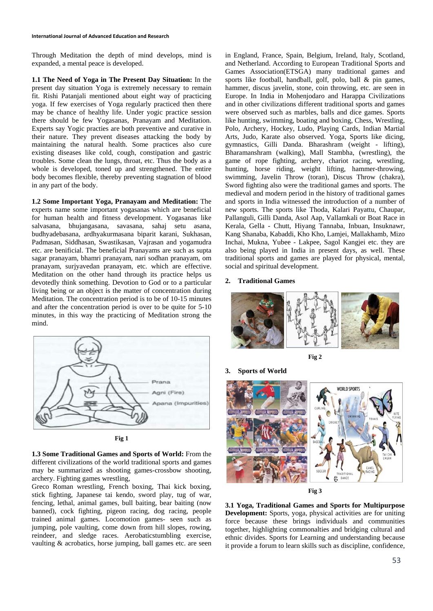#### **International Journal of Advanced Education and Research**

Through Meditation the depth of mind develops, mind is expanded, a mental peace is developed.

**1.1 The Need of Yoga in The Present Day Situation:** In the present day situation Yoga is extremely necessary to remain fit. Rishi Patanjali mentioned about eight way of practicing yoga. If few exercises of Yoga regularly practiced then there may be chance of healthy life. Under yogic practice session there should be few Yogasanas, Pranayam and Meditation. Experts say Yogic practies are both preventive and curative in their nature. They prevent diseases attacking the body by maintaining the natural health. Some practices also cure existing diseases like cold, cough, constipation and gastric troubles. Some clean the lungs, throat, etc. Thus the body as a whole is developed, toned up and strengthened. The entire body becomes flexible, thereby preventing stagnation of blood in any part of the body.

**1.2 Some Important Yoga, Pranayam and Meditation:** The experts name some important yogasanas which are beneficial for human health and fitness development. Yogasanas like salvasana, bhujangasana, savasana, sahaj setu asana, budhyadebasana, ardhyakurmasana biparit karani, Sukhasan, Padmasan, Siddhasan, Swastikasan, Vajrasan and yogamudra etc. are benificial. The beneficial Pranayams are such as supta sagar pranayam, bhamri pranayam, nari sodhan pranayam, om pranayam, surjyavedan pranayam, etc. which are effective. Meditation on the other hand through its practice helps us devotedly think something. Devotion to God or to a particular living being or an object is the matter of concentration during Meditation. The concentration period is to be of 10-15 minutes and after the concentration period is over to be quite for 5-10 minutes, in this way the practicing of Meditation strong the mind.



**Fig 1** 

**1.3 Some Traditional Games and Sports of World:** From the different civilizations of the world traditional sports and games may be summarized as shooting games-crossbow shooting, archery. Fighting games wrestling,

Greco Roman wrestling, French boxing, Thai kick boxing, stick fighting, Japanese tai kendo, sword play, tug of war, fencing, lethal, animal games, bull baiting, bear baiting (now banned), cock fighting, pigeon racing, dog racing, people trained animal games. Locomotion games- seen such as jumping, pole vaulting, come down from hill slopes, rowing, reindeer, and sledge races. Aerobaticstumbling exercise, vaulting & acrobatics, horse jumping, ball games etc. are seen in England, France, Spain, Belgium, Ireland, Italy, Scotland, and Netherland. According to European Traditional Sports and Games Association(ETSGA) many traditional games and sports like football, handball, golf, polo, ball & pin games, hammer, discus javelin, stone, coin throwing, etc. are seen in Europe. In India in Mohenjodaro and Harappa Civilizations and in other civilizations different traditional sports and games were observed such as marbles, balls and dice games. Sports like hunting, swimming, boating and boxing, Chess, Wrestling, Polo, Archery, Hockey, Ludo, Playing Cards, Indian Martial Arts, Judo, Karate also observed. Yoga, Sports like dicing, gymnastics, Gilli Danda. Bharashram (weight - lifting), Bharamanshram (walking), Mall Stambha, (wrestling), the game of rope fighting, archery, chariot racing, wrestling, hunting, horse riding, weight lifting, hammer-throwing, swimming, Javelin Throw (toran), Discus Throw (chakra), Sword fighting also were the traditional games and sports. The medieval and modern period in the history of traditional games and sports in India witnessed the introduction of a number of new sports. The sports like Thoda, Kalari Payattu, Chaupar, Pallanguli, Gilli Danda, Asol Aap, Vallamkali or Boat Race in Kerala, Gella - Chutt, Hiyang Tannaba, Inbuan, Insuknawr, Kang Shanaba, Kabaddi, Kho Kho, Lamjei, Mallakhamb, Mizo Inchai, Mukna, Yubee - Lakpee, Sagol Kangjei etc. they are also being played in India in present days, as well. These traditional sports and games are played for physical, mental, social and spiritual development.

### **2. Traditional Games**

**3. Sports of World** 









**3.1 Yoga, Traditional Games and Sports for Multipurpose Development:** Sports, yoga, physical activities are for uniting force because these brings individuals and communities together, highlighting commonalties and bridging cultural and ethnic divides. Sports for Learning and understanding because it provide a forum to learn skills such as discipline, confidence,